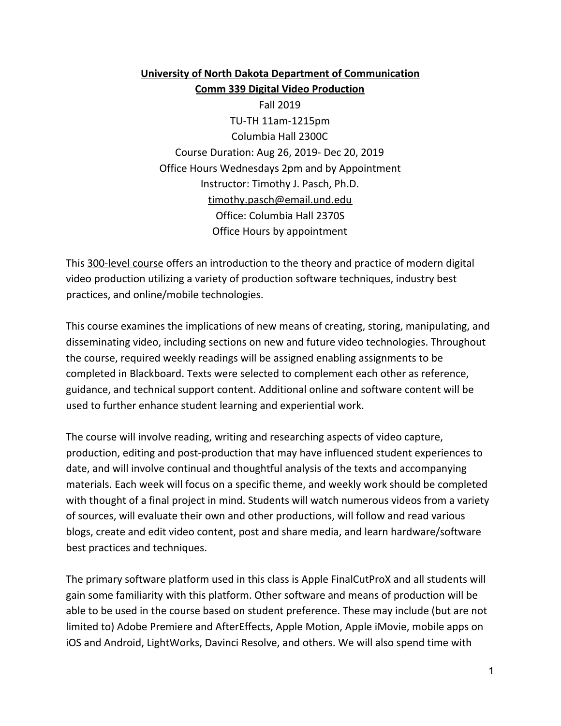**University of North Dakota Department of Communication Comm 339 Digital Video Production** Fall 2019 TU-TH 11am-1215pm Columbia Hall 2300C Course Duration: Aug 26, 2019- Dec 20, 2019 Office Hours Wednesdays 2pm and by Appointment Instructor: Timothy J. Pasch, Ph.D. timothy.pasch@email.und.edu Office: Columbia Hall 2370S Office Hours by appointment

This 300-level course offers an introduction to the theory and practice of modern digital video production utilizing a variety of production software techniques, industry best practices, and online/mobile technologies.

This course examines the implications of new means of creating, storing, manipulating, and disseminating video, including sections on new and future video technologies. Throughout the course, required weekly readings will be assigned enabling assignments to be completed in Blackboard. Texts were selected to complement each other as reference, guidance, and technical support content. Additional online and software content will be used to further enhance student learning and experiential work.

The course will involve reading, writing and researching aspects of video capture, production, editing and post-production that may have influenced student experiences to date, and will involve continual and thoughtful analysis of the texts and accompanying materials. Each week will focus on a specific theme, and weekly work should be completed with thought of a final project in mind. Students will watch numerous videos from a variety of sources, will evaluate their own and other productions, will follow and read various blogs, create and edit video content, post and share media, and learn hardware/software best practices and techniques.

The primary software platform used in this class is Apple FinalCutProX and all students will gain some familiarity with this platform. Other software and means of production will be able to be used in the course based on student preference. These may include (but are not limited to) Adobe Premiere and AfterEffects, Apple Motion, Apple iMovie, mobile apps on iOS and Android, LightWorks, Davinci Resolve, and others. We will also spend time with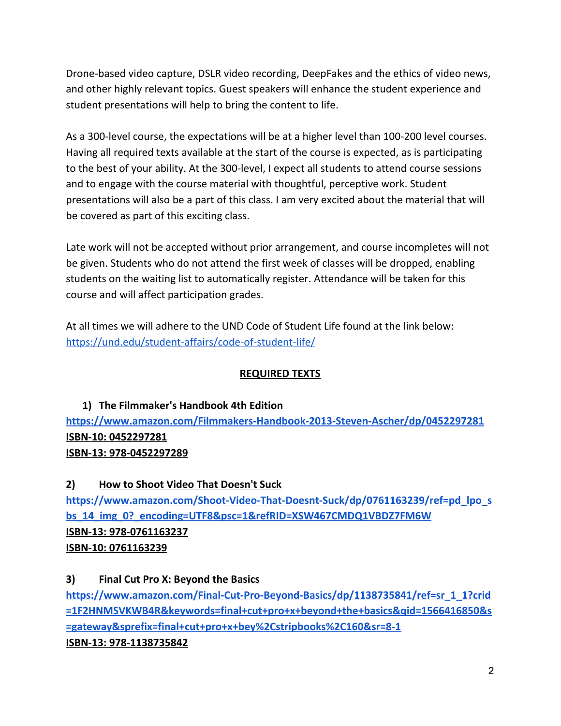Drone-based video capture, DSLR video recording, DeepFakes and the ethics of video news, and other highly relevant topics. Guest speakers will enhance the student experience and student presentations will help to bring the content to life.

As a 300-level course, the expectations will be at a higher level than 100-200 level courses. Having all required texts available at the start of the course is expected, as is participating to the best of your ability. At the 300-level, I expect all students to attend course sessions and to engage with the course material with thoughtful, perceptive work. Student presentations will also be a part of this class. I am very excited about the material that will be covered as part of this exciting class.

Late work will not be accepted without prior arrangement, and course incompletes will not be given. Students who do not attend the first week of classes will be dropped, enabling students on the waiting list to automatically register. Attendance will be taken for this course and will affect participation grades.

At all times we will adhere to the UND Code of Student Life found at the link below: <https://und.edu/student-affairs/code-of-student-life/>

# **REQUIRED TEXTS**

# **1) The Filmmaker's Handbook 4th Edition <https://www.amazon.com/Filmmakers-Handbook-2013-Steven-Ascher/dp/0452297281> ISBN-10: 0452297281 ISBN-13: 978-0452297289**

# **2) How to Shoot Video That Doesn't Suck**

**[https://www.amazon.com/Shoot-Video-That-Doesnt-Suck/dp/0761163239/ref=pd\\_lpo\\_s](https://www.amazon.com/Shoot-Video-That-Doesnt-Suck/dp/0761163239/ref=pd_lpo_sbs_14_img_0?_encoding=UTF8&psc=1&refRID=XSW467CMDQ1VBDZ7FM6W) [bs\\_14\\_img\\_0?\\_encoding=UTF8&psc=1&refRID=XSW467CMDQ1VBDZ7FM6W](https://www.amazon.com/Shoot-Video-That-Doesnt-Suck/dp/0761163239/ref=pd_lpo_sbs_14_img_0?_encoding=UTF8&psc=1&refRID=XSW467CMDQ1VBDZ7FM6W) ISBN-13: 978-0761163237 ISBN-10: 0761163239**

# **3) Final Cut Pro X: Beyond the Basics**

**[https://www.amazon.com/Final-Cut-Pro-Beyond-Basics/dp/1138735841/ref=sr\\_1\\_1?crid](https://www.amazon.com/Final-Cut-Pro-Beyond-Basics/dp/1138735841/ref=sr_1_1?crid=1F2HNMSVKWB4R&keywords=final+cut+pro+x+beyond+the+basics&qid=1566416850&s=gateway&sprefix=final+cut+pro+x+bey%2Cstripbooks%2C160&sr=8-1) [=1F2HNMSVKWB4R&keywords=final+cut+pro+x+beyond+the+basics&qid=1566416850&s](https://www.amazon.com/Final-Cut-Pro-Beyond-Basics/dp/1138735841/ref=sr_1_1?crid=1F2HNMSVKWB4R&keywords=final+cut+pro+x+beyond+the+basics&qid=1566416850&s=gateway&sprefix=final+cut+pro+x+bey%2Cstripbooks%2C160&sr=8-1) [=gateway&sprefix=final+cut+pro+x+bey%2Cstripbooks%2C160&sr=8-1](https://www.amazon.com/Final-Cut-Pro-Beyond-Basics/dp/1138735841/ref=sr_1_1?crid=1F2HNMSVKWB4R&keywords=final+cut+pro+x+beyond+the+basics&qid=1566416850&s=gateway&sprefix=final+cut+pro+x+bey%2Cstripbooks%2C160&sr=8-1) ISBN-13: 978-1138735842**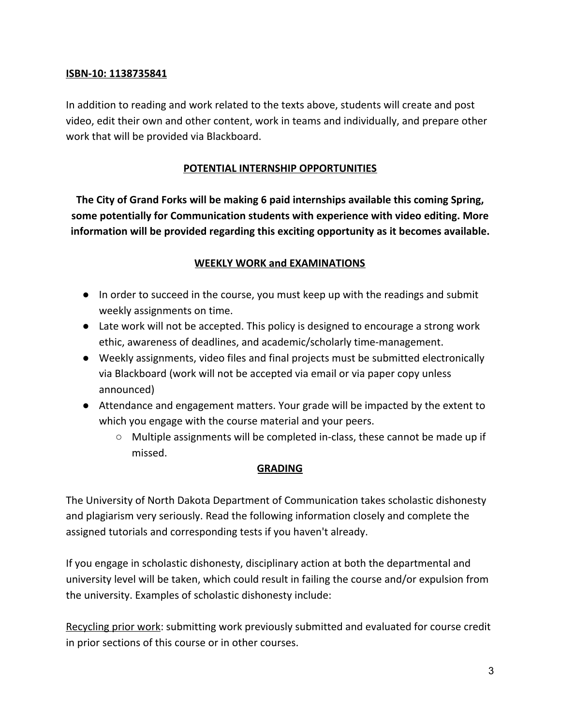#### **ISBN-10: 1138735841**

In addition to reading and work related to the texts above, students will create and post video, edit their own and other content, work in teams and individually, and prepare other work that will be provided via Blackboard.

# **POTENTIAL INTERNSHIP OPPORTUNITIES**

**The City of Grand Forks will be making 6 paid internships available this coming Spring, some potentially for Communication students with experience with video editing. More information will be provided regarding this exciting opportunity as it becomes available.**

# **WEEKLY WORK and EXAMINATIONS**

- In order to succeed in the course, you must keep up with the readings and submit weekly assignments on time.
- Late work will not be accepted. This policy is designed to encourage a strong work ethic, awareness of deadlines, and academic/scholarly time-management.
- Weekly assignments, video files and final projects must be submitted electronically via Blackboard (work will not be accepted via email or via paper copy unless announced)
- Attendance and engagement matters. Your grade will be impacted by the extent to which you engage with the course material and your peers.
	- $\circ$  Multiple assignments will be completed in-class, these cannot be made up if missed.

#### **GRADING**

The University of North Dakota Department of Communication takes scholastic dishonesty and plagiarism very seriously. Read the following information closely and complete the assigned tutorials and corresponding tests if you haven't already.

If you engage in scholastic dishonesty, disciplinary action at both the departmental and university level will be taken, which could result in failing the course and/or expulsion from the university. Examples of scholastic dishonesty include:

Recycling prior work: submitting work previously submitted and evaluated for course credit in prior sections of this course or in other courses.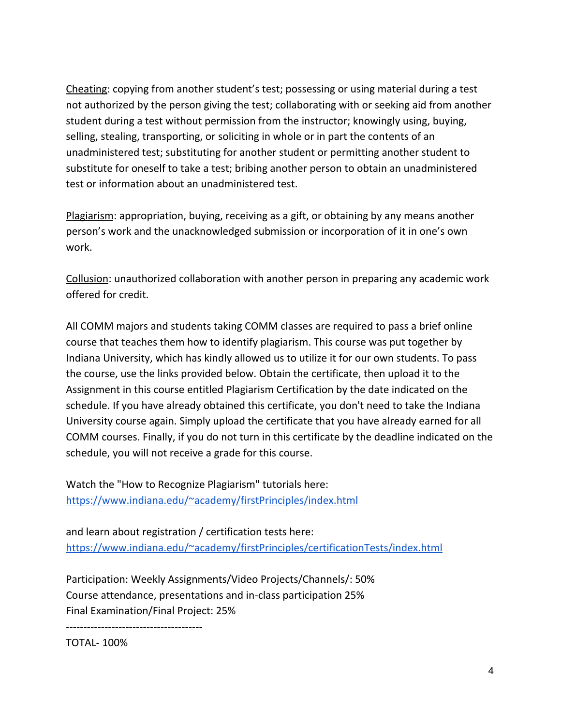Cheating: copying from another student's test; possessing or using material during a test not authorized by the person giving the test; collaborating with or seeking aid from another student during a test without permission from the instructor; knowingly using, buying, selling, stealing, transporting, or soliciting in whole or in part the contents of an unadministered test; substituting for another student or permitting another student to substitute for oneself to take a test; bribing another person to obtain an unadministered test or information about an unadministered test.

Plagiarism: appropriation, buying, receiving as a gift, or obtaining by any means another person's work and the unacknowledged submission or incorporation of it in one's own work.

Collusion: unauthorized collaboration with another person in preparing any academic work offered for credit.

All COMM majors and students taking COMM classes are required to pass a brief online course that teaches them how to identify plagiarism. This course was put together by Indiana University, which has kindly allowed us to utilize it for our own students. To pass the course, use the links provided below. Obtain the certificate, then upload it to the Assignment in this course entitled Plagiarism Certification by the date indicated on the schedule. If you have already obtained this certificate, you don't need to take the Indiana University course again. Simply upload the certificate that you have already earned for all COMM courses. Finally, if you do not turn in this certificate by the deadline indicated on the schedule, you will not receive a grade for this course.

Watch the "How to Recognize Plagiarism" tutorials here: <https://www.indiana.edu/~academy/firstPrinciples/index.html>

and learn about registration / certification tests here: <https://www.indiana.edu/~academy/firstPrinciples/certificationTests/index.html>

Participation: Weekly Assignments/Video Projects/Channels/: 50% Course attendance, presentations and in-class participation 25% Final Examination/Final Project: 25%

---------------------------------------

TOTAL- 100%